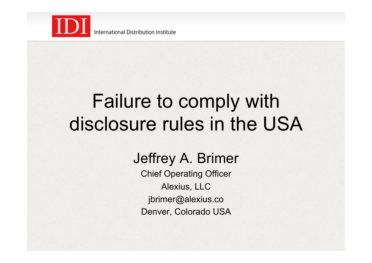

# Failure to comply with disclosure rules in the USA

#### Jeffrey A. Brimer

Chief Operating Officer Alexius, LLC jbrimer@alexius.co Denver, Colorado USA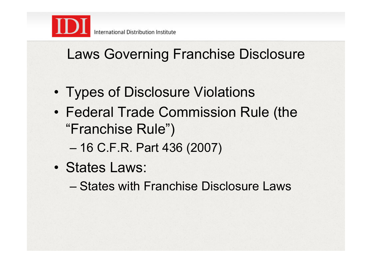

#### Laws Governing Franchise Disclosure

- Types of Disclosure Violations
- Federal Trade Commission Rule (the "Franchise Rule")
	- 16 C.F.R. Part 436 (2007)
- States Laws:
	- States with Franchise Disclosure Laws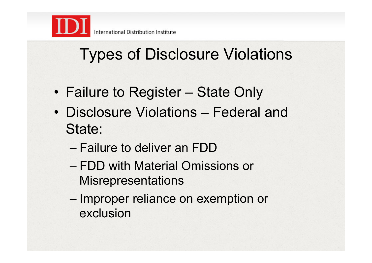

## Types of Disclosure Violations

- Failure to Register State Only
- Disclosure Violations Federal and State:
	- Failure to deliver an FDD
	- FDD with Material Omissions or **Misrepresentations**
	- Improper reliance on exemption or exclusion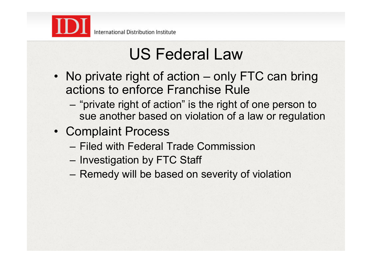

## US Federal Law

- No private right of action only FTC can bring actions to enforce Franchise Rule
	- "private right of action" is the right of one person to sue another based on violation of a law or regulation
- Complaint Process
	- Filed with Federal Trade Commission
	- Investigation by FTC Staff
	- Remedy will be based on severity of violation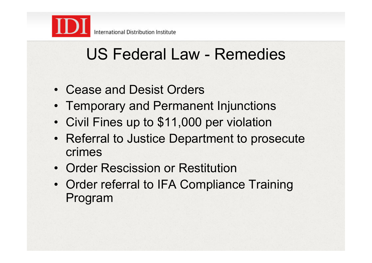

#### US Federal Law - Remedies

- Cease and Desist Orders
- Temporary and Permanent Injunctions
- Civil Fines up to \$11,000 per violation
- Referral to Justice Department to prosecute crimes
- Order Rescission or Restitution
- Order referral to IFA Compliance Training Program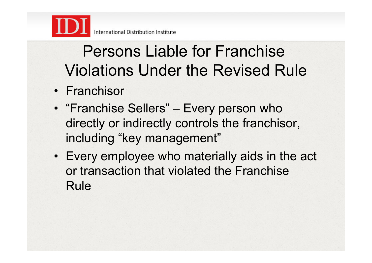

## Persons Liable for Franchise Violations Under the Revised Rule

- Franchisor
- "Franchise Sellers" Every person who directly or indirectly controls the franchisor, including "key management"
- Every employee who materially aids in the act or transaction that violated the Franchise Rule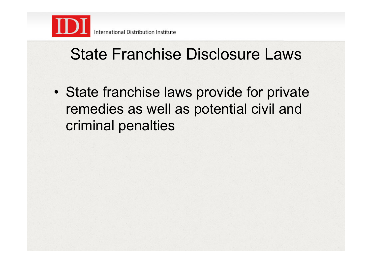

#### State Franchise Disclosure Laws

• State franchise laws provide for private remedies as well as potential civil and criminal penalties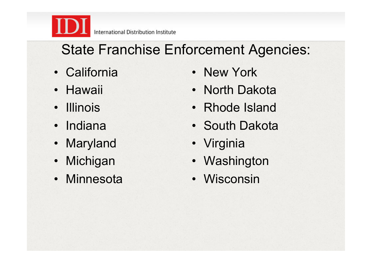International Distribution Institute

#### State Franchise Enforcement Agencies:

- California
- Hawaii
- Illinois
- Indiana
- Maryland
- Michigan
- Minnesota
- New York
- North Dakota
- Rhode Island
- South Dakota
- Virginia
- Washington
- Wisconsin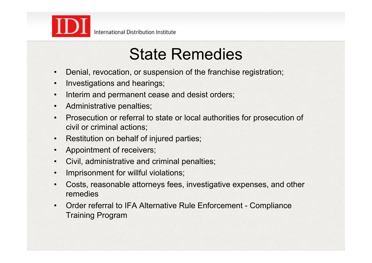

- **State Remedies**<br> **Denial, revocation, or suspension of the franchise registration;**
- Investigations and hearings;
- Interim and permanent cease and desist orders;
- Administrative penalties;
- Prosecution or referral to state or local authorities for prosecution of civil or criminal actions;
- Restitution on behalf of injured parties;
- Appointment of receivers;
- Civil, administrative and criminal penalties;
- Imprisonment for willful violations;
- Costs, reasonable attorneys fees, investigative expenses, and other remedies
- Order referral to IFA Alternative Rule Enforcement Compliance Training Program